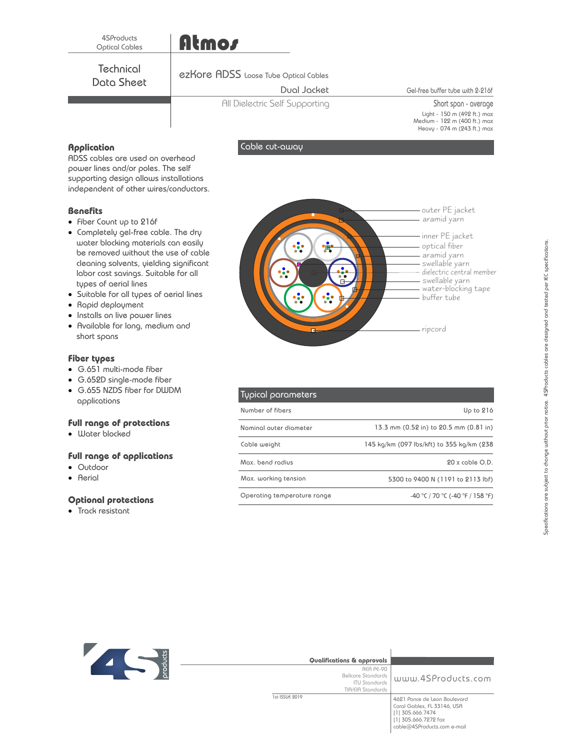## Atmos

Data Sheet **Technical** 

#### ezKore ADSS Loose Tube Optical Cables

#### Dual Jacket

All Dielectric Self Supporting

Cable cut-away

Gel-free buffer tube with 2-216f

Short span - average Light - 150 m (492 ft.) max Medium - Heavy - 122 m (400 ft.) max 074 m (243 ft.) max

### **Application**

ADSS cables are used on overhead power lines and/or poles. The self supporting design allows installations independent of other wires/conductors.

#### **Benefits**

- Fiber Count up to 216f
- · Completely gel-free cable. The dry water blocking materials can easily be removed without the use of cable cleaning solvents, yielding significant labor cost savings. Suitable for all types of aerial lines
- · Suitable for all types of aerial lines
- · Rapid deployment
- · Installs on live power lines
- · Available for long, medium and short spans

#### **Fiber types**

- · G.651 multi-mode fiber
- · G.652D single-mode fiber
- · G.655 NZDS fiber for DWDM applications

#### **Full range of protections**

· Water blocked

#### **Full range of applications**

- · Outdoor
- · Aerial

#### **Optional protections**

· Track resistant



| Typical parameters          |                                           |
|-----------------------------|-------------------------------------------|
| Number of fibers            | Up to $216$                               |
| Nominal outer diameter      | 13.3 mm (0.52 in) to 20.5 mm (0.81 in)    |
| Cable weight                | 145 kg/km (097 lbs/kft) to 355 kg/km (238 |
| Max, bend radius            | $20x$ coble $O.D.$                        |
| Max. working tension        | 5300 to 9400 N (1191 to 2113 lbf)         |
| Operating temperature range | -40 °C / 70 °C (-40 °F / 158 °F)          |



| Qualifications & approvals                                                   |                                                                                                                                        |
|------------------------------------------------------------------------------|----------------------------------------------------------------------------------------------------------------------------------------|
| REA PE-90<br>Bellcore Standards<br><b>ITU Stondards</b><br>TIA/EIA Standards | www.4SProducts.com                                                                                                                     |
| 1st ISSUE 2019                                                               | 4621 Ponce de Leon Boulevard<br>Coral Gables, FL 33146, USA<br>[1] 305.666.7474<br>[1] 305.666.7272 fax<br>cable@4SProducts.com e-mail |